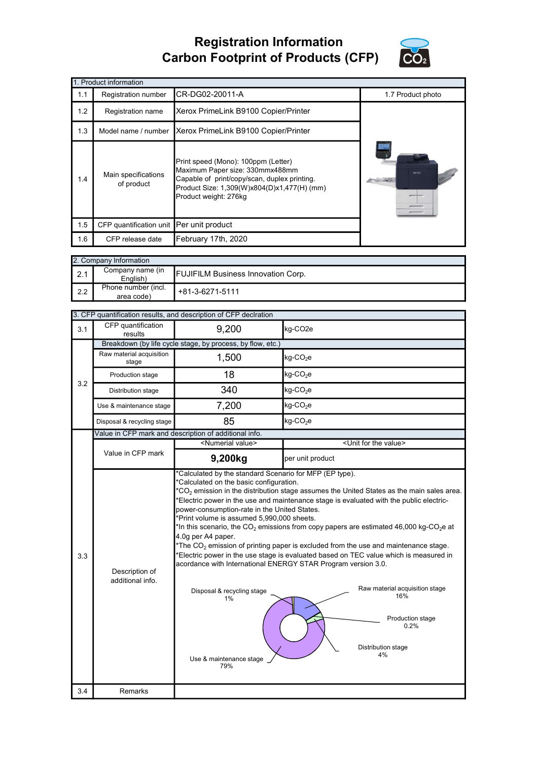## Registration Information Carbon Footprint of Products (CFP)



|     | 1. Product information                                                                                                                                                                                                              |                     |                   |  |  |  |  |  |
|-----|-------------------------------------------------------------------------------------------------------------------------------------------------------------------------------------------------------------------------------------|---------------------|-------------------|--|--|--|--|--|
| 1.1 | Registration number                                                                                                                                                                                                                 | CR-DG02-20011-A     | 1.7 Product photo |  |  |  |  |  |
| 1.2 | Registration name                                                                                                                                                                                                                   |                     |                   |  |  |  |  |  |
| 1.3 | Xerox PrimeLink B9100 Copier/Printer<br>Model name / number                                                                                                                                                                         |                     |                   |  |  |  |  |  |
| 1.4 | Print speed (Mono): 100ppm (Letter)<br>Maximum Paper size: 330mmx488mm<br>Main specifications<br>Capable of print/copy/scan, duplex printing.<br>of product<br>Product Size: 1,309(W)x804(D)x1,477(H) (mm)<br>Product weight: 276kg |                     | xerox             |  |  |  |  |  |
| 1.5 | CFP quantification unit Per unit product                                                                                                                                                                                            |                     |                   |  |  |  |  |  |
| 1.6 | CFP release date                                                                                                                                                                                                                    | February 17th, 2020 |                   |  |  |  |  |  |

|     | 2. Company Information            |                                           |  |  |  |  |
|-----|-----------------------------------|-------------------------------------------|--|--|--|--|
| 2.1 | Company name (in<br>English)      | <b>FUJIFILM Business Innovation Corp.</b> |  |  |  |  |
| 2.2 | Phone number (incl.<br>area code) | +81-3-6271-5111                           |  |  |  |  |

|     |                                                            | 3. CFP quantification results, and description of CFP declration                                                                                                                                                                  |                                                                                                                                                                                                                                                                                                                                                                                                                                                                                                                                                                                                                                                                 |  |  |  |
|-----|------------------------------------------------------------|-----------------------------------------------------------------------------------------------------------------------------------------------------------------------------------------------------------------------------------|-----------------------------------------------------------------------------------------------------------------------------------------------------------------------------------------------------------------------------------------------------------------------------------------------------------------------------------------------------------------------------------------------------------------------------------------------------------------------------------------------------------------------------------------------------------------------------------------------------------------------------------------------------------------|--|--|--|
| 3.1 | CFP quantification<br>results                              | 9,200                                                                                                                                                                                                                             | kg-CO <sub>2e</sub>                                                                                                                                                                                                                                                                                                                                                                                                                                                                                                                                                                                                                                             |  |  |  |
|     | Breakdown (by life cycle stage, by process, by flow, etc.) |                                                                                                                                                                                                                                   |                                                                                                                                                                                                                                                                                                                                                                                                                                                                                                                                                                                                                                                                 |  |  |  |
|     | Raw material acquisition<br>stage                          | 1,500                                                                                                                                                                                                                             | kg-CO <sub>2</sub> e                                                                                                                                                                                                                                                                                                                                                                                                                                                                                                                                                                                                                                            |  |  |  |
| 3.2 | Production stage                                           | 18                                                                                                                                                                                                                                | $kg$ -CO <sub>2</sub> e                                                                                                                                                                                                                                                                                                                                                                                                                                                                                                                                                                                                                                         |  |  |  |
|     | Distribution stage                                         | 340                                                                                                                                                                                                                               | $kg$ -CO <sub>2</sub> e                                                                                                                                                                                                                                                                                                                                                                                                                                                                                                                                                                                                                                         |  |  |  |
|     | Use & maintenance stage                                    | 7,200                                                                                                                                                                                                                             | $kg$ -CO <sub>2</sub> e                                                                                                                                                                                                                                                                                                                                                                                                                                                                                                                                                                                                                                         |  |  |  |
|     | Disposal & recycling stage                                 | 85                                                                                                                                                                                                                                | kg-CO <sub>2</sub> e                                                                                                                                                                                                                                                                                                                                                                                                                                                                                                                                                                                                                                            |  |  |  |
|     |                                                            | Value in CFP mark and description of additional info.                                                                                                                                                                             |                                                                                                                                                                                                                                                                                                                                                                                                                                                                                                                                                                                                                                                                 |  |  |  |
|     |                                                            | <numerial value=""></numerial>                                                                                                                                                                                                    | <unit for="" the="" value=""></unit>                                                                                                                                                                                                                                                                                                                                                                                                                                                                                                                                                                                                                            |  |  |  |
|     | Value in CFP mark                                          | 9,200kg                                                                                                                                                                                                                           | per unit product                                                                                                                                                                                                                                                                                                                                                                                                                                                                                                                                                                                                                                                |  |  |  |
| 3.3 | Description of<br>additional info.                         | *Calculated on the basic configuration.<br>power-consumption-rate in the United States.<br>*Print volume is assumed 5,990,000 sheets.<br>4.0g per A4 paper.<br>Disposal & recycling stage<br>1%<br>Use & maintenance stage<br>79% | $*$ CO <sub>2</sub> emission in the distribution stage assumes the United States as the main sales area.<br>Electric power in the use and maintenance stage is evaluated with the public electric-<br>*In this scenario, the $CO_2$ emissions from copy papers are estimated 46,000 kg-CO <sub>2</sub> e at<br>*The $CO2$ emission of printing paper is excluded from the use and maintenance stage.<br>*Electric power in the use stage is evaluated based on TEC value which is measured in<br>acordance with International ENERGY STAR Program version 3.0.<br>Raw material acquisition stage<br>16%<br>Production stage<br>0.2%<br>Distribution stage<br>4% |  |  |  |
| 3.4 | Remarks                                                    |                                                                                                                                                                                                                                   |                                                                                                                                                                                                                                                                                                                                                                                                                                                                                                                                                                                                                                                                 |  |  |  |